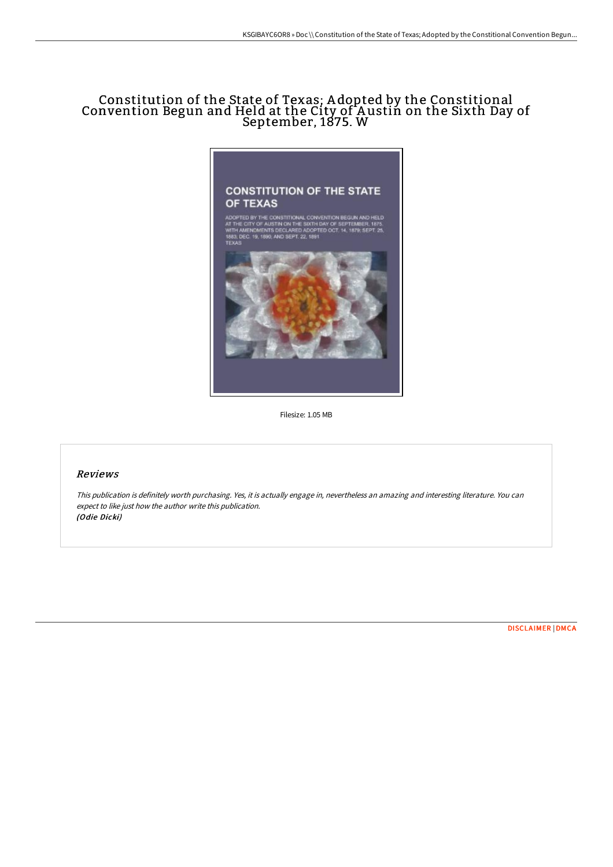# Constitution of the State of Texas; A dopted by the Constitional Convention Begun and Held at the City of A ustin on the Sixth Day of September, 1875. W



Filesize: 1.05 MB

## Reviews

This publication is definitely worth purchasing. Yes, it is actually engage in, nevertheless an amazing and interesting literature. You can expect to like just how the author write this publication. (Odie Dicki)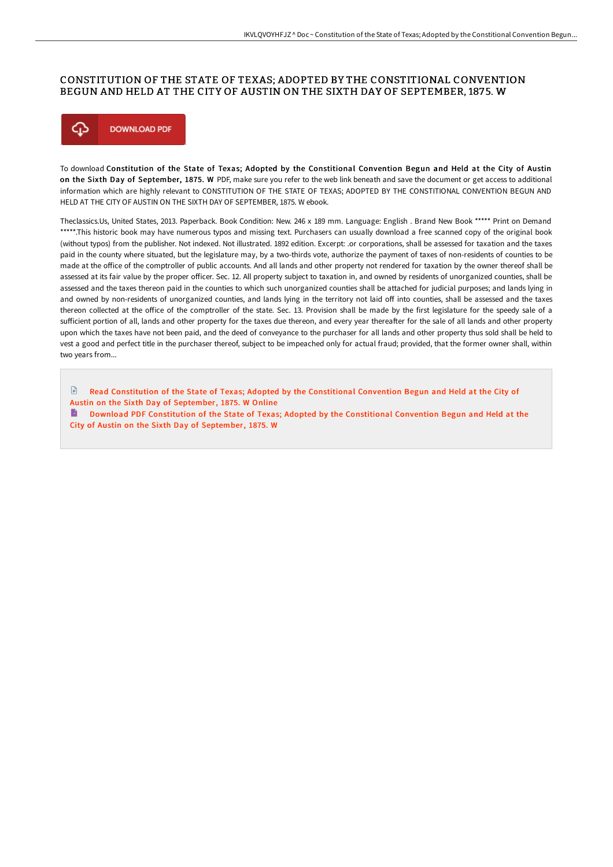#### CONSTITUTION OF THE STATE OF TEXAS; ADOPTED BY THE CONSTITIONAL CONVENTION BEGUN AND HELD AT THE CITY OF AUSTIN ON THE SIXTH DAY OF SEPTEMBER, 1875. W



To download Constitution of the State of Texas; Adopted by the Constitional Convention Begun and Held at the City of Austin on the Sixth Day of September, 1875. W PDF, make sure you refer to the web link beneath and save the document or get access to additional information which are highly relevant to CONSTITUTION OF THE STATE OF TEXAS; ADOPTED BY THE CONSTITIONAL CONVENTION BEGUN AND HELD AT THE CITY OF AUSTIN ON THE SIXTH DAY OF SEPTEMBER, 1875. W ebook.

Theclassics.Us, United States, 2013. Paperback. Book Condition: New. 246 x 189 mm. Language: English . Brand New Book \*\*\*\*\* Print on Demand \*\*\*\*\*.This historic book may have numerous typos and missing text. Purchasers can usually download a free scanned copy of the original book (without typos) from the publisher. Not indexed. Not illustrated. 1892 edition. Excerpt: .or corporations, shall be assessed for taxation and the taxes paid in the county where situated, but the legislature may, by a two-thirds vote, authorize the payment of taxes of non-residents of counties to be made at the office of the comptroller of public accounts. And all lands and other property not rendered for taxation by the owner thereof shall be assessed at its fair value by the proper officer. Sec. 12. All property subject to taxation in, and owned by residents of unorganized counties, shall be assessed and the taxes thereon paid in the counties to which such unorganized counties shall be attached for judicial purposes; and lands lying in and owned by non-residents of unorganized counties, and lands lying in the territory not laid off into counties, shall be assessed and the taxes thereon collected at the office of the comptroller of the state. Sec. 13. Provision shall be made by the first legislature for the speedy sale of a sufficient portion of all, lands and other property for the taxes due thereon, and every year thereafter for the sale of all lands and other property upon which the taxes have not been paid, and the deed of conveyance to the purchaser for all lands and other property thus sold shall be held to vest a good and perfect title in the purchaser thereof, subject to be impeached only for actual fraud; provided, that the former owner shall, within two years from...

 $\mathbb{R}$ Read [Constitution](http://digilib.live/constitution-of-the-state-of-texas-adopted-by-th.html) of the State of Texas; Adopted by the Constitional Convention Begun and Held at the City of Austin on the Sixth Day of September, 1875. W Online Download PDF [Constitution](http://digilib.live/constitution-of-the-state-of-texas-adopted-by-th.html) of the State of Texas; Adopted by the Constitional Convention Begun and Held at the City of Austin on the Sixth Day of September, 1875. W